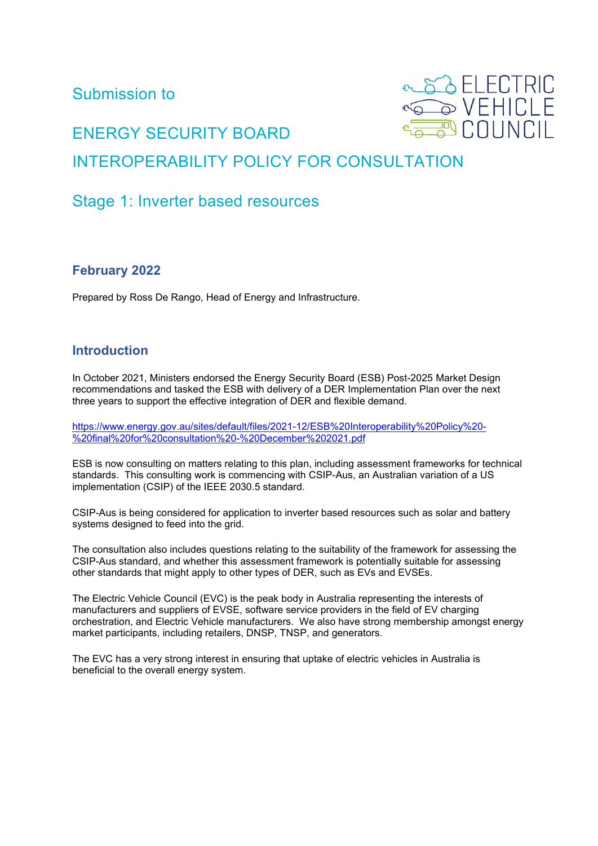Submission to



# ENERGY SECURITY BOARD INTEROPERABILITY POLICY FOR CONSULTATION

# Stage 1: Inverter based resources

#### **February 2022**

Prepared by Ross De Rango, Head of Energy and Infrastructure.

## **Introduction**

In October 2021, Ministers endorsed the Energy Security Board (ESB) Post-2025 Market Design recommendations and tasked the ESB with delivery of a DER Implementation Plan over the next three years to support the effective integration of DER and flexible demand.

[https://www.energy.gov.au/sites/default/files/2021-12/ESB%20Interoperability%20Policy%20-](https://www.energy.gov.au/sites/default/files/2021-12/ESB%20Interoperability%20Policy%20-%20final%20for%20consultation%20-%20December%202021.pdf) [%20final%20for%20consultation%20-%20December%202021.pdf](https://www.energy.gov.au/sites/default/files/2021-12/ESB%20Interoperability%20Policy%20-%20final%20for%20consultation%20-%20December%202021.pdf)

ESB is now consulting on matters relating to this plan, including assessment frameworks for technical standards. This consulting work is commencing with CSIP-Aus, an Australian variation of a US implementation (CSIP) of the IEEE 2030.5 standard.

CSIP-Aus is being considered for application to inverter based resources such as solar and battery systems designed to feed into the grid.

The consultation also includes questions relating to the suitability of the framework for assessing the CSIP-Aus standard, and whether this assessment framework is potentially suitable for assessing other standards that might apply to other types of DER, such as EVs and EVSEs.

The Electric Vehicle Council (EVC) is the peak body in Australia representing the interests of manufacturers and suppliers of EVSE, software service providers in the field of EV charging orchestration, and Electric Vehicle manufacturers. We also have strong membership amongst energy market participants, including retailers, DNSP, TNSP, and generators.

The EVC has a very strong interest in ensuring that uptake of electric vehicles in Australia is beneficial to the overall energy system.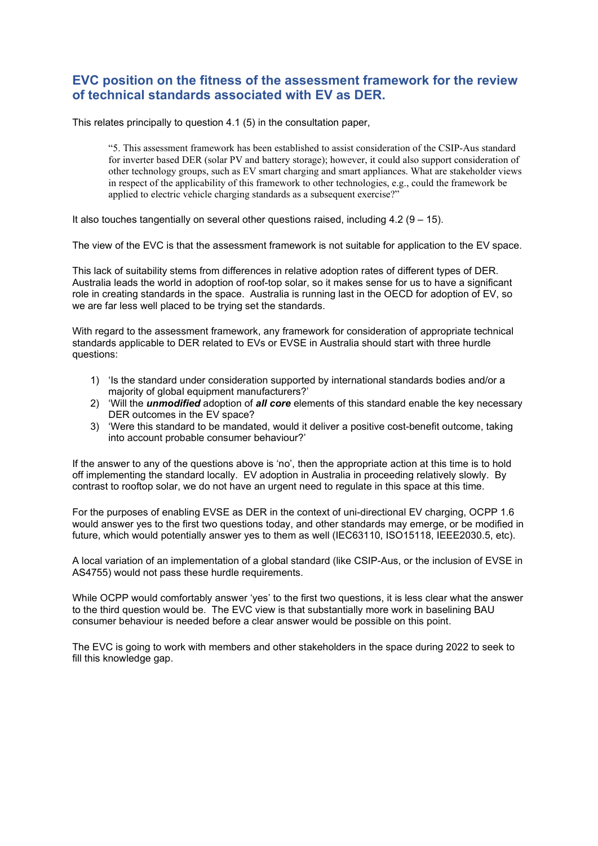#### **EVC position on the fitness of the assessment framework for the review of technical standards associated with EV as DER.**

This relates principally to question 4.1 (5) in the consultation paper,

"5. This assessment framework has been established to assist consideration of the CSIP-Aus standard for inverter based DER (solar PV and battery storage); however, it could also support consideration of other technology groups, such as EV smart charging and smart appliances. What are stakeholder views in respect of the applicability of this framework to other technologies, e.g., could the framework be applied to electric vehicle charging standards as a subsequent exercise?"

It also touches tangentially on several other questions raised, including  $4.2$  ( $9 - 15$ ).

The view of the EVC is that the assessment framework is not suitable for application to the EV space.

This lack of suitability stems from differences in relative adoption rates of different types of DER. Australia leads the world in adoption of roof-top solar, so it makes sense for us to have a significant role in creating standards in the space. Australia is running last in the OECD for adoption of EV, so we are far less well placed to be trying set the standards.

With regard to the assessment framework, any framework for consideration of appropriate technical standards applicable to DER related to EVs or EVSE in Australia should start with three hurdle questions:

- 1) 'Is the standard under consideration supported by international standards bodies and/or a majority of global equipment manufacturers?'
- 2) 'Will the *unmodified* adoption of *all core* elements of this standard enable the key necessary DER outcomes in the EV space?
- 3) 'Were this standard to be mandated, would it deliver a positive cost-benefit outcome, taking into account probable consumer behaviour?'

If the answer to any of the questions above is 'no', then the appropriate action at this time is to hold off implementing the standard locally. EV adoption in Australia in proceeding relatively slowly. By contrast to rooftop solar, we do not have an urgent need to regulate in this space at this time.

For the purposes of enabling EVSE as DER in the context of uni-directional EV charging, OCPP 1.6 would answer yes to the first two questions today, and other standards may emerge, or be modified in future, which would potentially answer yes to them as well (IEC63110, ISO15118, IEEE2030.5, etc).

A local variation of an implementation of a global standard (like CSIP-Aus, or the inclusion of EVSE in AS4755) would not pass these hurdle requirements.

While OCPP would comfortably answer 'yes' to the first two questions, it is less clear what the answer to the third question would be. The EVC view is that substantially more work in baselining BAU consumer behaviour is needed before a clear answer would be possible on this point.

The EVC is going to work with members and other stakeholders in the space during 2022 to seek to fill this knowledge gap.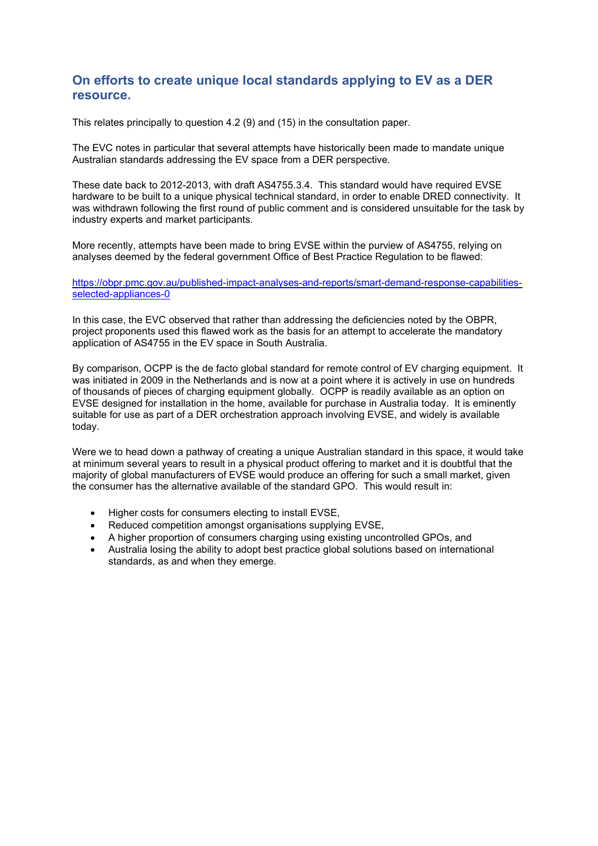#### **On efforts to create unique local standards applying to EV as a DER resource.**

This relates principally to question 4.2 (9) and (15) in the consultation paper.

The EVC notes in particular that several attempts have historically been made to mandate unique Australian standards addressing the EV space from a DER perspective.

These date back to 2012-2013, with draft AS4755.3.4. This standard would have required EVSE hardware to be built to a unique physical technical standard, in order to enable DRED connectivity. It was withdrawn following the first round of public comment and is considered unsuitable for the task by industry experts and market participants.

More recently, attempts have been made to bring EVSE within the purview of AS4755, relying on analyses deemed by the federal government Office of Best Practice Regulation to be flawed:

[https://obpr.pmc.gov.au/published-impact-analyses-and-reports/smart-demand-response-capabilities](https://obpr.pmc.gov.au/published-impact-analyses-and-reports/smart-demand-response-capabilities-selected-appliances-0)[selected-appliances-0](https://obpr.pmc.gov.au/published-impact-analyses-and-reports/smart-demand-response-capabilities-selected-appliances-0)

In this case, the EVC observed that rather than addressing the deficiencies noted by the OBPR, project proponents used this flawed work as the basis for an attempt to accelerate the mandatory application of AS4755 in the EV space in South Australia.

By comparison, OCPP is the de facto global standard for remote control of EV charging equipment. It was initiated in 2009 in the Netherlands and is now at a point where it is actively in use on hundreds of thousands of pieces of charging equipment globally. OCPP is readily available as an option on EVSE designed for installation in the home, available for purchase in Australia today. It is eminently suitable for use as part of a DER orchestration approach involving EVSE, and widely is available today.

Were we to head down a pathway of creating a unique Australian standard in this space, it would take at minimum several years to result in a physical product offering to market and it is doubtful that the majority of global manufacturers of EVSE would produce an offering for such a small market, given the consumer has the alternative available of the standard GPO. This would result in:

- Higher costs for consumers electing to install EVSE,
- Reduced competition amongst organisations supplying EVSE,
- A higher proportion of consumers charging using existing uncontrolled GPOs, and
- Australia losing the ability to adopt best practice global solutions based on international standards, as and when they emerge.